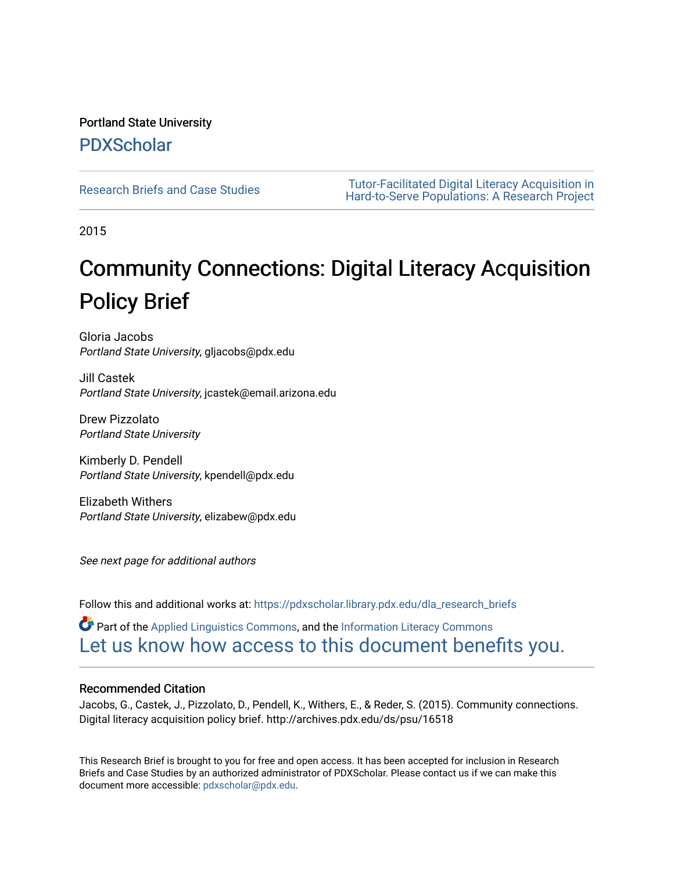#### Portland State University [PDXScholar](https://pdxscholar.library.pdx.edu/)

[Research Briefs and Case Studies](https://pdxscholar.library.pdx.edu/dla_research_briefs) Tutor-Facilitated Digital Literacy Acquisition in [Hard-to-Serve Populations: A Research Project](https://pdxscholar.library.pdx.edu/digital_literacy_acquisition) 

2015

# Community Connections: Digital Literacy Acquisition Policy Brief

Gloria Jacobs Portland State University, gljacobs@pdx.edu

Jill Castek Portland State University, jcastek@email.arizona.edu

Drew Pizzolato Portland State University

Kimberly D. Pendell Portland State University, kpendell@pdx.edu

Elizabeth Withers Portland State University, elizabew@pdx.edu

See next page for additional authors

Follow this and additional works at: [https://pdxscholar.library.pdx.edu/dla\\_research\\_briefs](https://pdxscholar.library.pdx.edu/dla_research_briefs?utm_source=pdxscholar.library.pdx.edu%2Fdla_research_briefs%2F20&utm_medium=PDF&utm_campaign=PDFCoverPages) 

 $\bullet$  Part of the [Applied Linguistics Commons,](http://network.bepress.com/hgg/discipline/373?utm_source=pdxscholar.library.pdx.edu%2Fdla_research_briefs%2F20&utm_medium=PDF&utm_campaign=PDFCoverPages) and the Information Literacy Commons [Let us know how access to this document benefits you.](http://library.pdx.edu/services/pdxscholar-services/pdxscholar-feedback/?ref=https://pdxscholar.library.pdx.edu/dla_research_briefs/20) 

#### Recommended Citation

Jacobs, G., Castek, J., Pizzolato, D., Pendell, K., Withers, E., & Reder, S. (2015). Community connections. Digital literacy acquisition policy brief. http://archives.pdx.edu/ds/psu/16518

This Research Brief is brought to you for free and open access. It has been accepted for inclusion in Research Briefs and Case Studies by an authorized administrator of PDXScholar. Please contact us if we can make this document more accessible: [pdxscholar@pdx.edu.](mailto:pdxscholar@pdx.edu)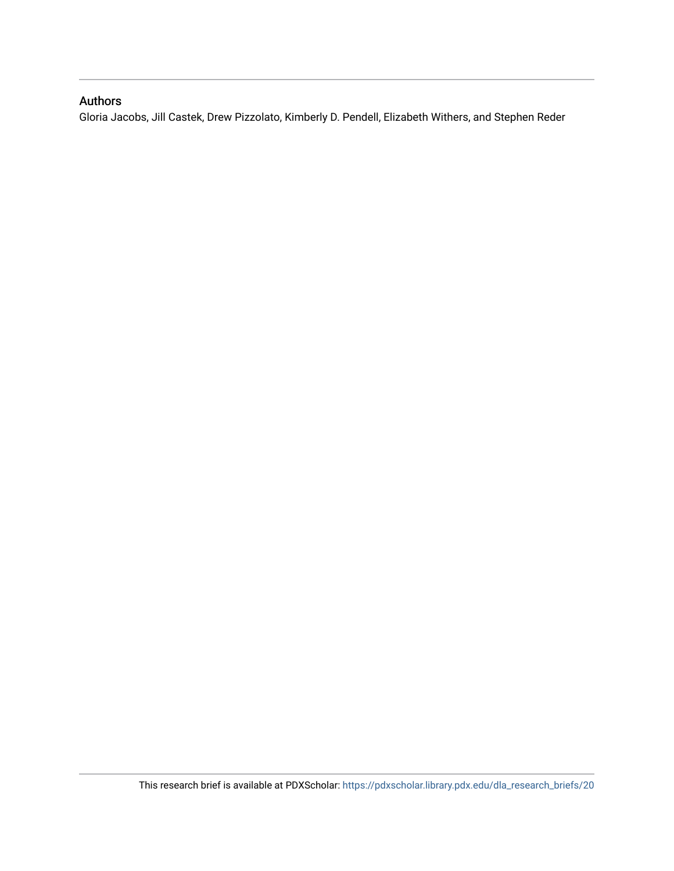#### Authors

Gloria Jacobs, Jill Castek, Drew Pizzolato, Kimberly D. Pendell, Elizabeth Withers, and Stephen Reder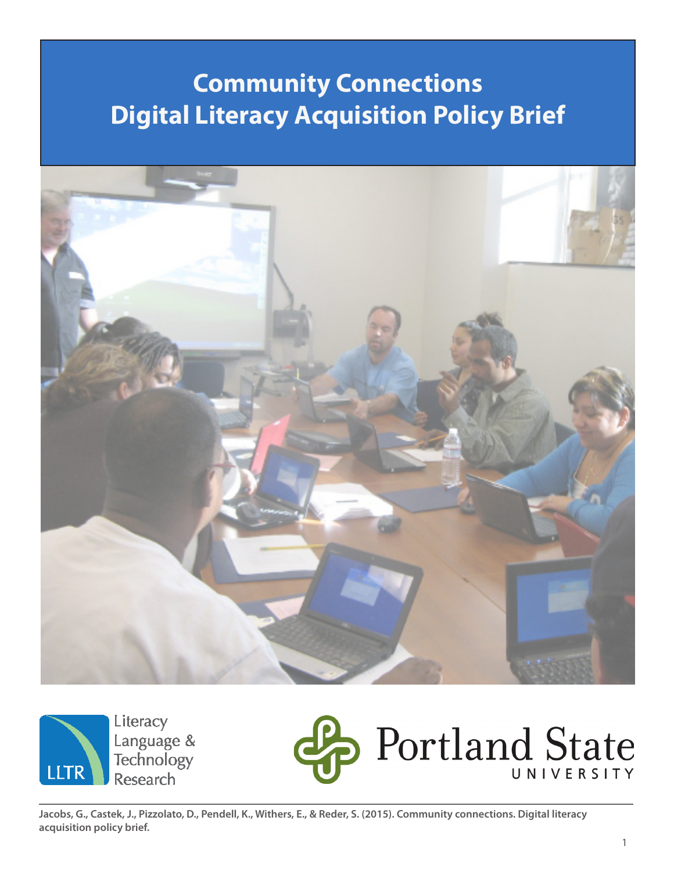# **Community Connections Digital Literacy Acquisition Policy Brief**





Literacy Language & **Technology Research** 



**Jacobs, G., Castek, J., Pizzolato, D., Pendell, K., Withers, E., & Reder, S. (2015). Community connections. Digital literacy acquisition policy brief.**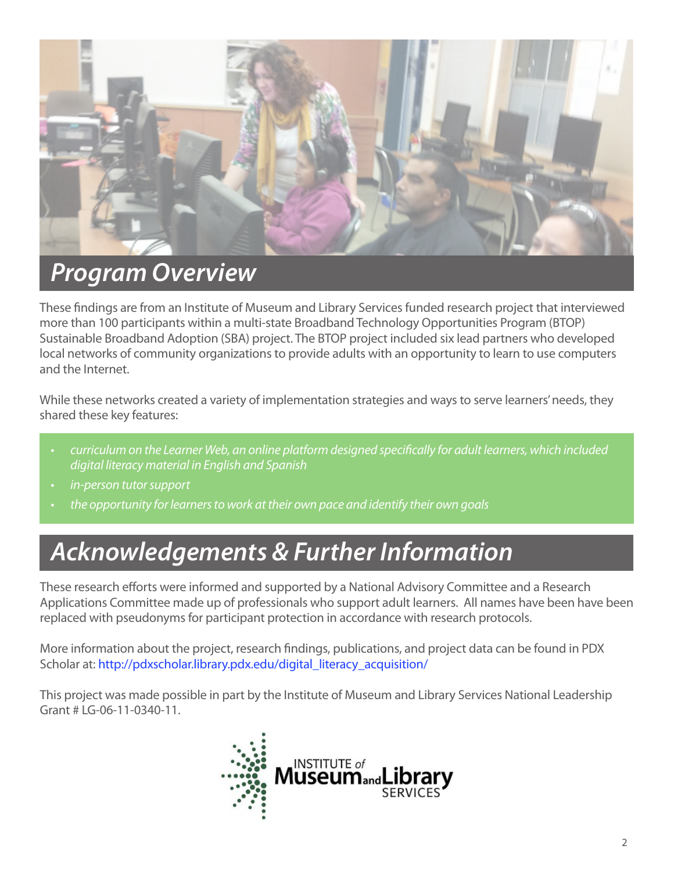

# *Program Overview*

These findings are from an Institute of Museum and Library Services funded research project that interviewed more than 100 participants within a multi-state Broadband Technology Opportunities Program (BTOP) Sustainable Broadband Adoption (SBA) project. The BTOP project included six lead partners who developed local networks of community organizations to provide adults with an opportunity to learn to use computers and the Internet.

While these networks created a variety of implementation strategies and ways to serve learners' needs, they shared these key features:

- curriculum on the Learner Web, an online platform designed specifically for adult learners, which included digital literacy material in English and Spanish
- in-person tutor support
- the opportunity for learners to work at their own pace and identify their own goals

# *Acknowledgements & Further Information*

These research efforts were informed and supported by a National Advisory Committee and a Research Applications Committee made up of professionals who support adult learners. All names have been have been replaced with pseudonyms for participant protection in accordance with research protocols.

More information about the project, research findings, publications, and project data can be found in PDX Scholar at: http://pdxscholar.library.pdx.edu/digital\_literacy\_acquisition/

This project was made possible in part by the Institute of Museum and Library Services National Leadership Grant # LG-06-11-0340-11.

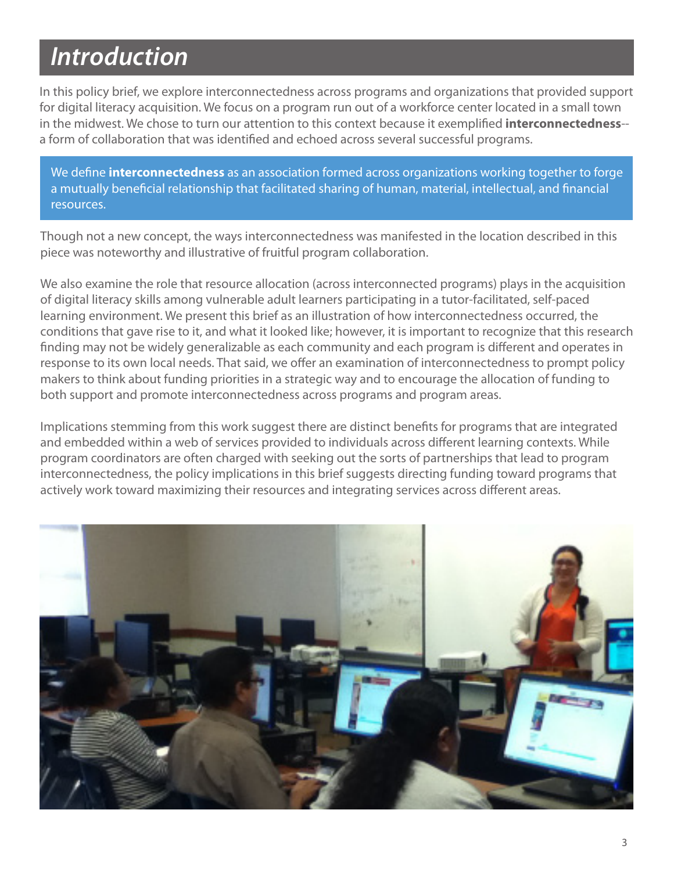# *Introduction*

In this policy brief, we explore interconnectedness across programs and organizations that provided support for digital literacy acquisition. We focus on a program run out of a workforce center located in a small town in the midwest. We chose to turn our attention to this context because it exemplified **interconnectedness**- a form of collaboration that was identified and echoed across several successful programs.

We define **interconnectedness** as an association formed across organizations working together to forge a mutually beneficial relationship that facilitated sharing of human, material, intellectual, and financial resources.

Though not a new concept, the ways interconnectedness was manifested in the location described in this piece was noteworthy and illustrative of fruitful program collaboration.

We also examine the role that resource allocation (across interconnected programs) plays in the acquisition of digital literacy skills among vulnerable adult learners participating in a tutor-facilitated, self-paced learning environment. We present this brief as an illustration of how interconnectedness occurred, the conditions that gave rise to it, and what it looked like; however, it is important to recognize that this research finding may not be widely generalizable as each community and each program is different and operates in response to its own local needs. That said, we offer an examination of interconnectedness to prompt policy makers to think about funding priorities in a strategic way and to encourage the allocation of funding to both support and promote interconnectedness across programs and program areas.

Implications stemming from this work suggest there are distinct benefits for programs that are integrated and embedded within a web of services provided to individuals across different learning contexts. While program coordinators are often charged with seeking out the sorts of partnerships that lead to program interconnectedness, the policy implications in this brief suggests directing funding toward programs that actively work toward maximizing their resources and integrating services across different areas.

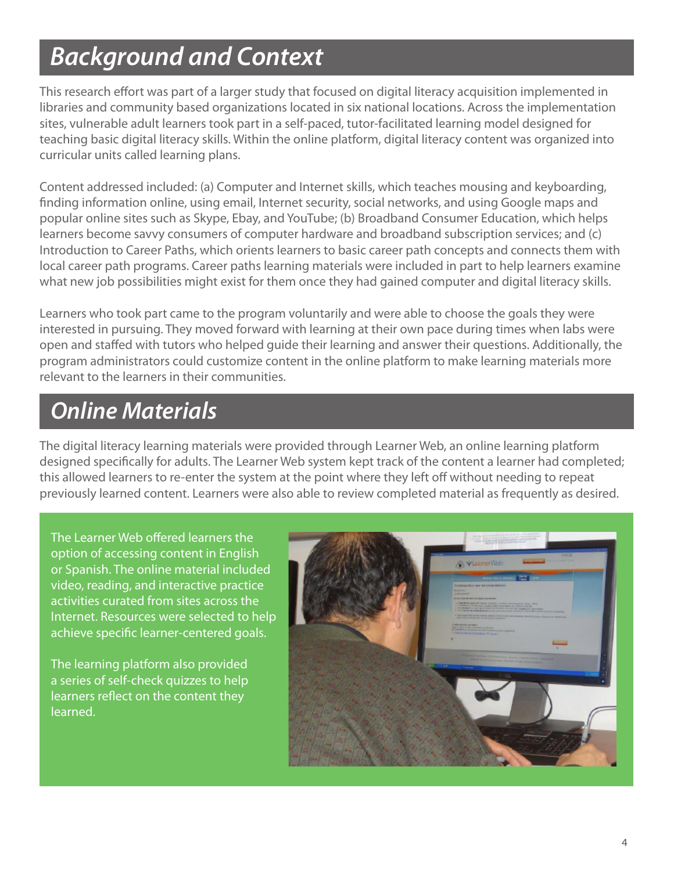# *Background and Context*

This research effort was part of a larger study that focused on digital literacy acquisition implemented in libraries and community based organizations located in six national locations. Across the implementation sites, vulnerable adult learners took part in a self-paced, tutor-facilitated learning model designed for teaching basic digital literacy skills. Within the online platform, digital literacy content was organized into curricular units called learning plans.

Content addressed included: (a) Computer and Internet skills, which teaches mousing and keyboarding, finding information online, using email, Internet security, social networks, and using Google maps and popular online sites such as Skype, Ebay, and YouTube; (b) Broadband Consumer Education, which helps learners become savvy consumers of computer hardware and broadband subscription services; and (c) Introduction to Career Paths, which orients learners to basic career path concepts and connects them with local career path programs. Career paths learning materials were included in part to help learners examine what new job possibilities might exist for them once they had gained computer and digital literacy skills.

Learners who took part came to the program voluntarily and were able to choose the goals they were interested in pursuing. They moved forward with learning at their own pace during times when labs were open and staffed with tutors who helped guide their learning and answer their questions. Additionally, the program administrators could customize content in the online platform to make learning materials more relevant to the learners in their communities.

## *Online Materials*

The digital literacy learning materials were provided through Learner Web, an online learning platform designed specifically for adults. The Learner Web system kept track of the content a learner had completed; this allowed learners to re-enter the system at the point where they left off without needing to repeat previously learned content. Learners were also able to review completed material as frequently as desired.

The Learner Web offered learners the option of accessing content in English or Spanish. The online material included video, reading, and interactive practice activities curated from sites across the Internet. Resources were selected to help achieve specific learner-centered goals.

The learning platform also provided a series of self-check quizzes to help learners reflect on the content they learned.

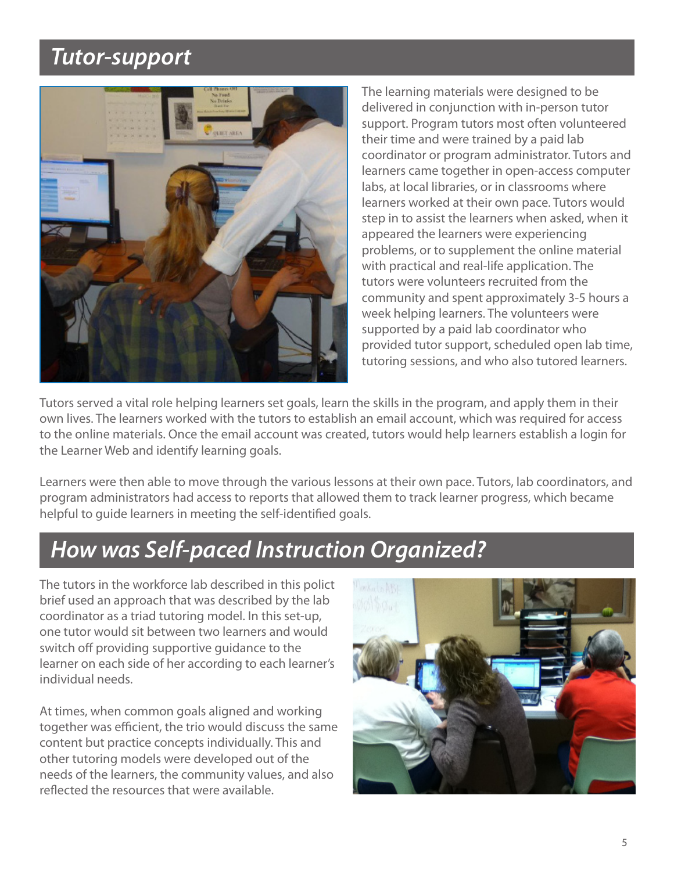### *Tutor-support*



The learning materials were designed to be delivered in conjunction with in-person tutor support. Program tutors most often volunteered their time and were trained by a paid lab coordinator or program administrator. Tutors and learners came together in open-access computer labs, at local libraries, or in classrooms where learners worked at their own pace. Tutors would step in to assist the learners when asked, when it appeared the learners were experiencing problems, or to supplement the online material with practical and real-life application. The tutors were volunteers recruited from the community and spent approximately 3-5 hours a week helping learners. The volunteers were supported by a paid lab coordinator who provided tutor support, scheduled open lab time, tutoring sessions, and who also tutored learners.

Tutors served a vital role helping learners set goals, learn the skills in the program, and apply them in their own lives. The learners worked with the tutors to establish an email account, which was required for access to the online materials. Once the email account was created, tutors would help learners establish a login for the Learner Web and identify learning goals.

Learners were then able to move through the various lessons at their own pace. Tutors, lab coordinators, and program administrators had access to reports that allowed them to track learner progress, which became helpful to guide learners in meeting the self-identified goals.

## *How was Self-paced Instruction Organized?*

The tutors in the workforce lab described in this polict brief used an approach that was described by the lab coordinator as a triad tutoring model. In this set-up, one tutor would sit between two learners and would switch off providing supportive guidance to the learner on each side of her according to each learner's individual needs.

At times, when common goals aligned and working together was efficient, the trio would discuss the same content but practice concepts individually. This and other tutoring models were developed out of the needs of the learners, the community values, and also reflected the resources that were available.

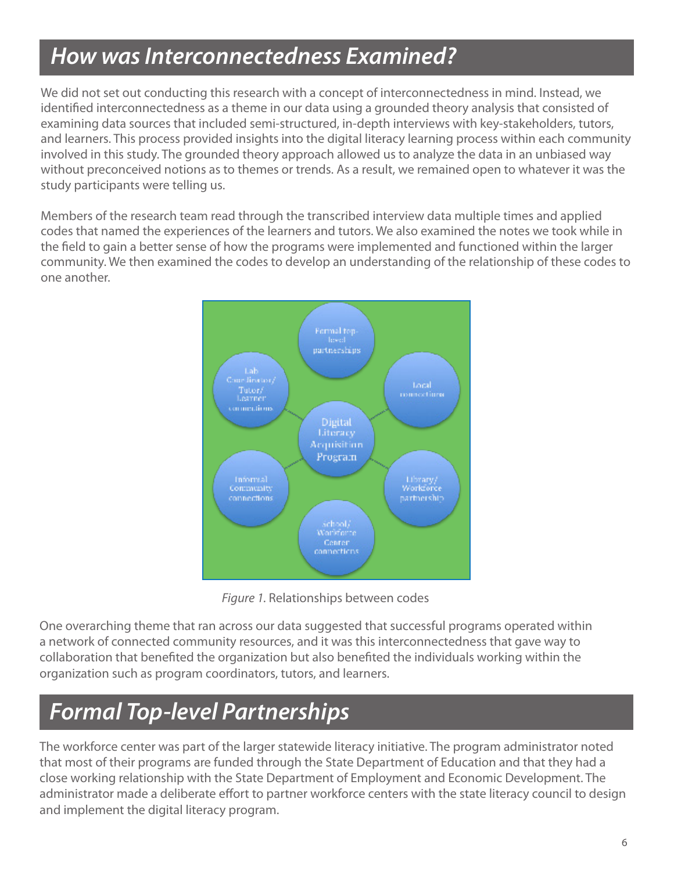## *How was Interconnectedness Examined?*

We did not set out conducting this research with a concept of interconnectedness in mind. Instead, we identified interconnectedness as a theme in our data using a grounded theory analysis that consisted of examining data sources that included semi-structured, in-depth interviews with key-stakeholders, tutors, and learners. This process provided insights into the digital literacy learning process within each community involved in this study. The grounded theory approach allowed us to analyze the data in an unbiased way without preconceived notions as to themes or trends. As a result, we remained open to whatever it was the study participants were telling us.

Members of the research team read through the transcribed interview data multiple times and applied codes that named the experiences of the learners and tutors. We also examined the notes we took while in the field to gain a better sense of how the programs were implemented and functioned within the larger community. We then examined the codes to develop an understanding of the relationship of these codes to one another.



Figure 1. Relationships between codes

One overarching theme that ran across our data suggested that successful programs operated within a network of connected community resources, and it was this interconnectedness that gave way to collaboration that benefited the organization but also benefited the individuals working within the organization such as program coordinators, tutors, and learners.

## *Formal Top-level Partnerships*

The workforce center was part of the larger statewide literacy initiative. The program administrator noted that most of their programs are funded through the State Department of Education and that they had a close working relationship with the State Department of Employment and Economic Development. The administrator made a deliberate effort to partner workforce centers with the state literacy council to design and implement the digital literacy program.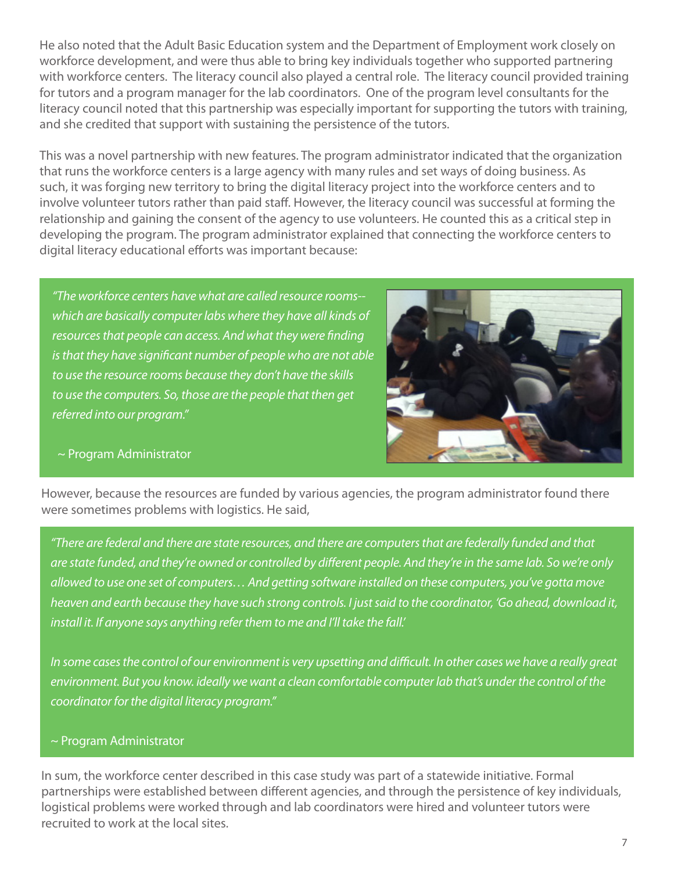He also noted that the Adult Basic Education system and the Department of Employment work closely on workforce development, and were thus able to bring key individuals together who supported partnering with workforce centers. The literacy council also played a central role. The literacy council provided training for tutors and a program manager for the lab coordinators. One of the program level consultants for the literacy council noted that this partnership was especially important for supporting the tutors with training, and she credited that support with sustaining the persistence of the tutors.

This was a novel partnership with new features. The program administrator indicated that the organization that runs the workforce centers is a large agency with many rules and set ways of doing business. As such, it was forging new territory to bring the digital literacy project into the workforce centers and to involve volunteer tutors rather than paid staff. However, the literacy council was successful at forming the relationship and gaining the consent of the agency to use volunteers. He counted this as a critical step in developing the program. The program administrator explained that connecting the workforce centers to digital literacy educational efforts was important because:

"The workforce centers have what are called resource rooms- which are basically computer labs where they have all kinds of resources that people can access. And what they were finding is that they have significant number of people who are not able to use the resource rooms because they don't have the skills to use the computers. So, those are the people that then get referred into our program."



#### ~ Program Administrator

However, because the resources are funded by various agencies, the program administrator found there were sometimes problems with logistics. He said,

"There are federal and there are state resources, and there are computersthat are federally funded and that are state funded, and they're owned or controlled by different people. And they're in the same lab. So we're only allowed to use one set of computers... And getting software installed on these computers, you've gotta move heaven and earth because they have such strong controls. I justsaid to the coordinator, 'Go ahead, download it, install it. If anyone says anything refer them to me and I'll take the fall.'

In some cases the control of our environment is very upsetting and difficult. In other cases we have a really great environment. But you know. ideally we want a clean comfortable computer lab that's under the control of the coordinator for the digital literacy program."

#### ~ Program Administrator

In sum, the workforce center described in this case study was part of a statewide initiative. Formal partnerships were established between different agencies, and through the persistence of key individuals, logistical problems were worked through and lab coordinators were hired and volunteer tutors were recruited to work at the local sites.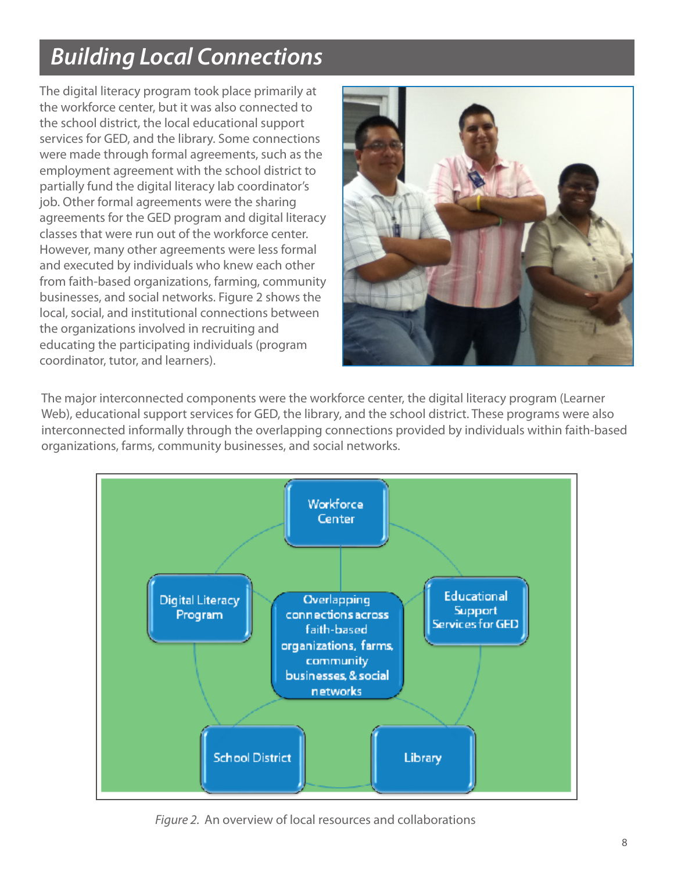# *Building Local Connections*

The digital literacy program took place primarily at the workforce center, but it was also connected to the school district, the local educational support services for GED, and the library. Some connections were made through formal agreements, such as the employment agreement with the school district to partially fund the digital literacy lab coordinator's job. Other formal agreements were the sharing agreements for the GED program and digital literacy classes that were run out of the workforce center. However, many other agreements were less formal and executed by individuals who knew each other from faith-based organizations, farming, community businesses, and social networks. Figure 2 shows the local, social, and institutional connections between the organizations involved in recruiting and educating the participating individuals (program coordinator, tutor, and learners).



The major interconnected components were the workforce center, the digital literacy program (Learner Web), educational support services for GED, the library, and the school district. These programs were also interconnected informally through the overlapping connections provided by individuals within faith-based organizations, farms, community businesses, and social networks.



Figure 2. An overview of local resources and collaborations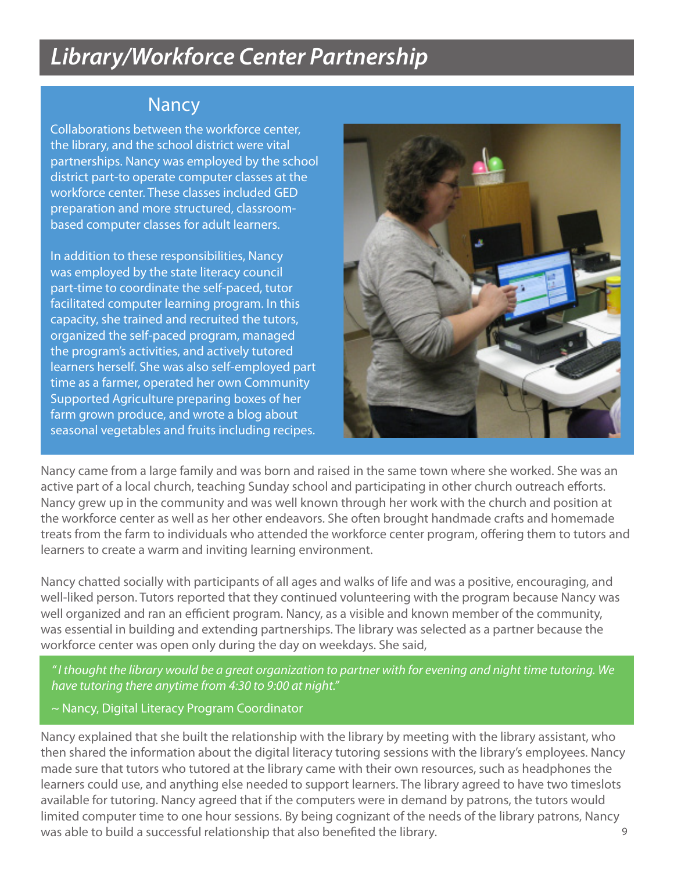## *Library/Workforce Center Partnership*

### Nancy

Collaborations between the workforce center, the library, and the school district were vital partnerships. Nancy was employed by the school district part-to operate computer classes at the workforce center. These classes included GED preparation and more structured, classroombased computer classes for adult learners.

In addition to these responsibilities, Nancy was employed by the state literacy council part-time to coordinate the self-paced, tutor facilitated computer learning program. In this capacity, she trained and recruited the tutors, organized the self-paced program, managed the program's activities, and actively tutored learners herself. She was also self-employed part time as a farmer, operated her own Community Supported Agriculture preparing boxes of her farm grown produce, and wrote a blog about seasonal vegetables and fruits including recipes.



Nancy came from a large family and was born and raised in the same town where she worked. She was an active part of a local church, teaching Sunday school and participating in other church outreach efforts. Nancy grew up in the community and was well known through her work with the church and position at the workforce center as well as her other endeavors. She often brought handmade crafts and homemade treats from the farm to individuals who attended the workforce center program, offering them to tutors and learners to create a warm and inviting learning environment.

Nancy chatted socially with participants of all ages and walks of life and was a positive, encouraging, and well-liked person. Tutors reported that they continued volunteering with the program because Nancy was well organized and ran an efficient program. Nancy, as a visible and known member of the community, was essential in building and extending partnerships. The library was selected as a partner because the workforce center was open only during the day on weekdays. She said,

*"* I thought the library would be a great organization to partner with for evening and night time tutoring. We have tutoring there anytime from 4:30 to 9:00 at night."

~ Nancy, Digital Literacy Program Coordinator

9 Nancy explained that she built the relationship with the library by meeting with the library assistant, who then shared the information about the digital literacy tutoring sessions with the library's employees. Nancy made sure that tutors who tutored at the library came with their own resources, such as headphones the learners could use, and anything else needed to support learners. The library agreed to have two timeslots available for tutoring. Nancy agreed that if the computers were in demand by patrons, the tutors would limited computer time to one hour sessions. By being cognizant of the needs of the library patrons, Nancy was able to build a successful relationship that also benefited the library.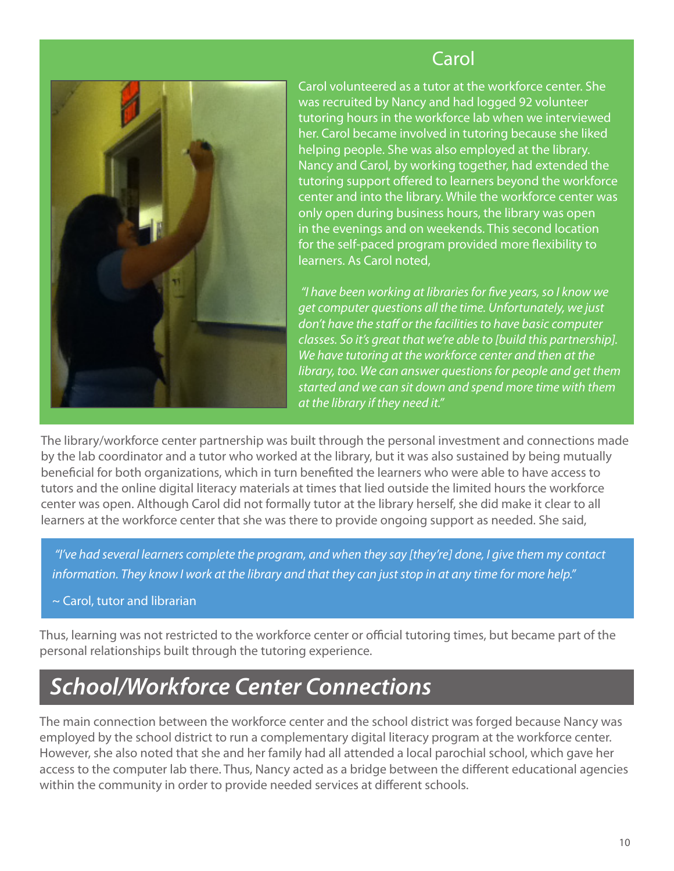

### **Carol**

Carol volunteered as a tutor at the workforce center. She was recruited by Nancy and had logged 92 volunteer tutoring hours in the workforce lab when we interviewed her. Carol became involved in tutoring because she liked helping people. She was also employed at the library. Nancy and Carol, by working together, had extended the tutoring support offered to learners beyond the workforce center and into the library. While the workforce center was only open during business hours, the library was open in the evenings and on weekends. This second location for the self-paced program provided more flexibility to learners. As Carol noted,

"I have been working at libraries for five years, so I know we get computer questions all the time. Unfortunately, we just don't have the staff or the facilities to have basic computer classes. So it's great that we're able to [build this partnership]. We have tutoring at the workforce center and then at the library, too. We can answer questions for people and get them started and we can sit down and spend more time with them at the library if they need it."

The library/workforce center partnership was built through the personal investment and connections made by the lab coordinator and a tutor who worked at the library, but it was also sustained by being mutually beneficial for both organizations, which in turn benefited the learners who were able to have access to tutors and the online digital literacy materials at times that lied outside the limited hours the workforce center was open. Although Carol did not formally tutor at the library herself, she did make it clear to all learners at the workforce center that she was there to provide ongoing support as needed. She said,

"I've had several learners complete the program, and when they say [they're] done, I give them my contact information. They know I work at the library and that they can just stop in at any time for more help."

#### $\sim$  Carol, tutor and librarian

Thus, learning was not restricted to the workforce center or official tutoring times, but became part of the personal relationships built through the tutoring experience.

# *School/Workforce Center Connections*

The main connection between the workforce center and the school district was forged because Nancy was employed by the school district to run a complementary digital literacy program at the workforce center. However, she also noted that she and her family had all attended a local parochial school, which gave her access to the computer lab there. Thus, Nancy acted as a bridge between the different educational agencies within the community in order to provide needed services at different schools.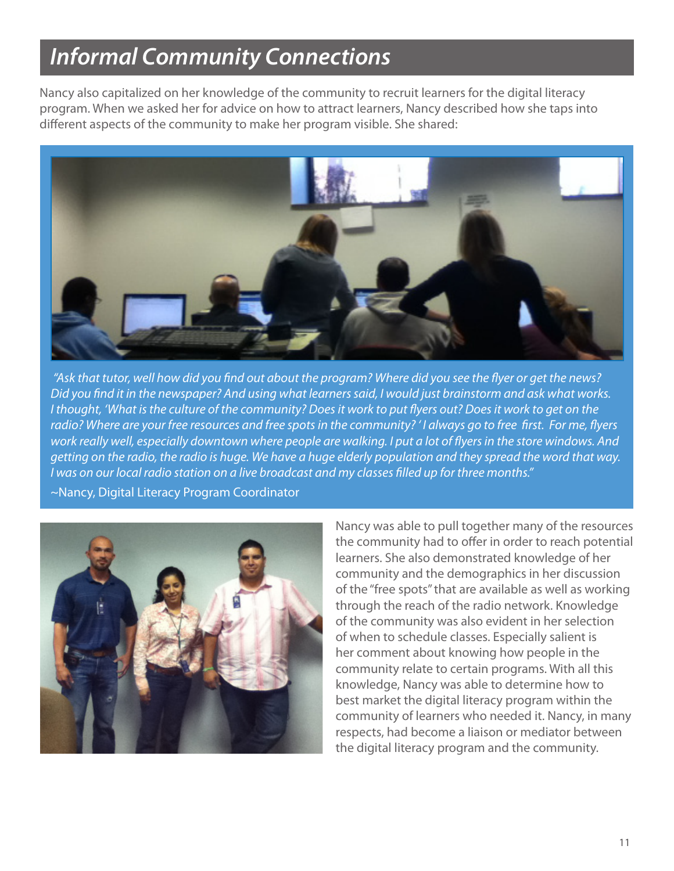## *Informal Community Connections*

Nancy also capitalized on her knowledge of the community to recruit learners for the digital literacy program. When we asked her for advice on how to attract learners, Nancy described how she taps into different aspects of the community to make her program visible. She shared:



"Ask that tutor, well how did you find out about the program? Where did you see the flyer or get the news? Did you find it in the newspaper? And using what learners said, I would just brainstorm and ask what works. I thought, 'What is the culture of the community? Does it work to put flyers out? Does it work to get on the radio? Where are your free resources and free spots in the community? 'I always go to free first. For me, flyers work really well, especially downtown where people are walking. I put a lot of flyersin the store windows. And getting on the radio, the radio is huge. We have a huge elderly population and they spread the word that way. I was on our local radio station on a live broadcast and my classes filled up for three months."

~Nancy, Digital Literacy Program Coordinator



Nancy was able to pull together many of the resources the community had to offer in order to reach potential learners. She also demonstrated knowledge of her community and the demographics in her discussion of the "free spots" that are available as well as working through the reach of the radio network. Knowledge of the community was also evident in her selection of when to schedule classes. Especially salient is her comment about knowing how people in the community relate to certain programs. With all this knowledge, Nancy was able to determine how to best market the digital literacy program within the community of learners who needed it. Nancy, in many respects, had become a liaison or mediator between the digital literacy program and the community.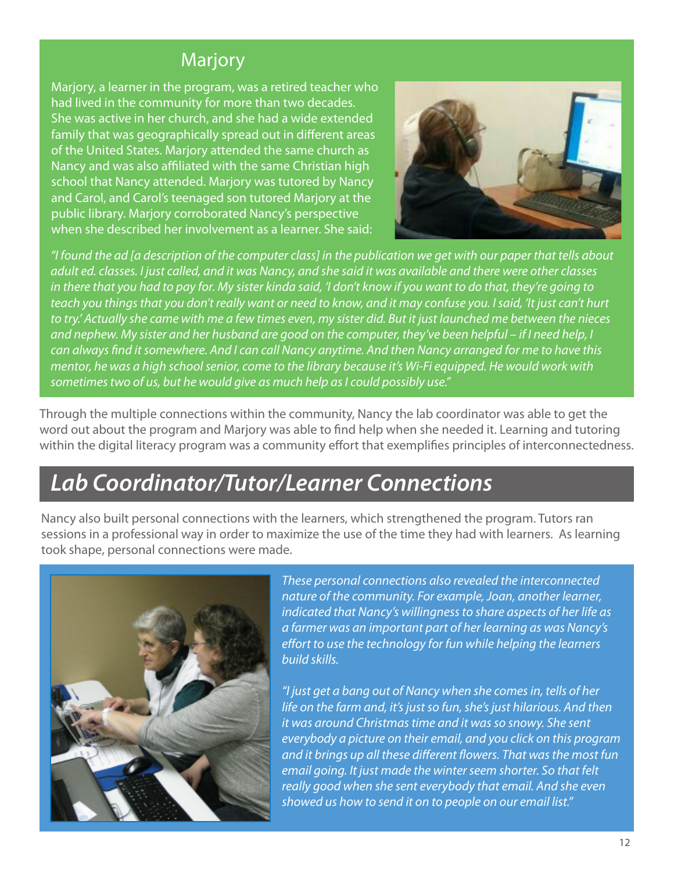### **Marjory**

Marjory, a learner in the program, was a retired teacher who had lived in the community for more than two decades. She was active in her church, and she had a wide extended family that was geographically spread out in different areas of the United States. Marjory attended the same church as Nancy and was also affiliated with the same Christian high school that Nancy attended. Marjory was tutored by Nancy and Carol, and Carol's teenaged son tutored Marjory at the public library. Marjory corroborated Nancy's perspective when she described her involvement as a learner. She said:



"I found the ad [a description of the computer class] in the publication we get with our paper that tells about adult ed. classes. I just called, and it was Nancy, and she said it was available and there were other classes in there that you had to pay for. My sister kinda said, 'I don't know if you want to do that, they're going to teach you things that you don't really want or need to know, and it may confuse you. I said, 'It just can't hurt to try.' Actually she came with me a few times even, my sister did. But it just launched me between the nieces and nephew. My sister and her husband are good on the computer, they've been helpful – if I need help, I can always find it somewhere. And I can call Nancy anytime. And then Nancy arranged for me to have this mentor, he was a high school senior, come to the library because it's Wi-Fi equipped. He would work with sometimes two of us, but he would give as much help as I could possibly use."

Through the multiple connections within the community, Nancy the lab coordinator was able to get the word out about the program and Marjory was able to find help when she needed it. Learning and tutoring within the digital literacy program was a community effort that exemplifies principles of interconnectedness.

## *Lab Coordinator/Tutor/Learner Connections*

Nancy also built personal connections with the learners, which strengthened the program. Tutors ran sessions in a professional way in order to maximize the use of the time they had with learners. As learning took shape, personal connections were made.



These personal connections also revealed the interconnected nature of the community. For example, Joan, another learner, indicated that Nancy's willingness to share aspects of her life as a farmer was an important part of her learning as was Nancy's effort to use the technology for fun while helping the learners build skills.

"I just get a bang out of Nancy when she comesin, tells of her life on the farm and, it's just so fun, she's just hilarious. And then it was around Christmas time and it was so snowy. She sent everybody a picture on their email, and you click on this program and it brings up all these different flowers. That was the most fun email going. It just made the winter seem shorter. So that felt really good when she sent everybody that email. And she even showed us how to send it on to people on our email list."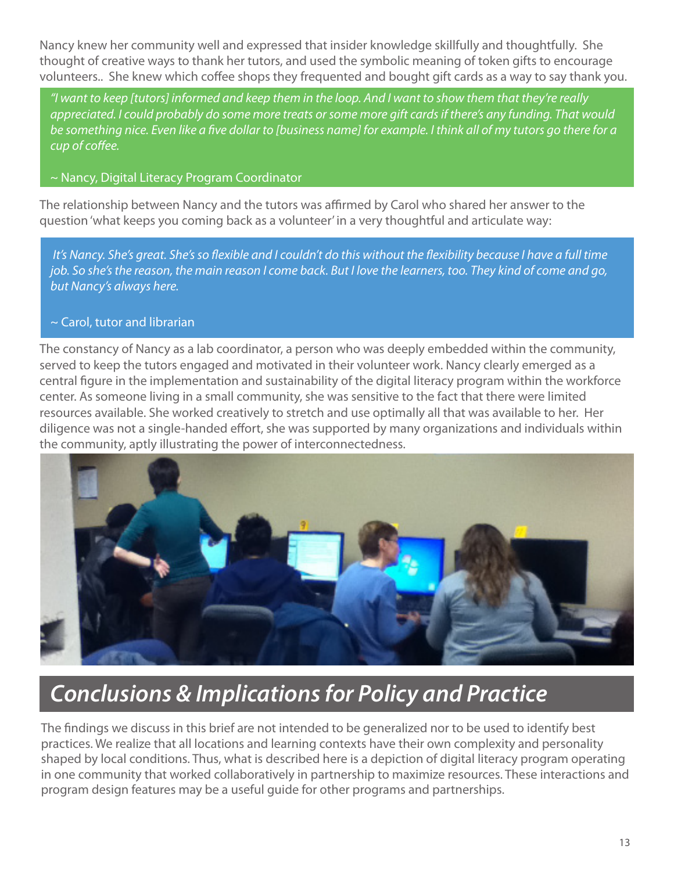Nancy knew her community well and expressed that insider knowledge skillfully and thoughtfully. She thought of creative ways to thank her tutors, and used the symbolic meaning of token gifts to encourage volunteers.. She knew which coffee shops they frequented and bought gift cards as a way to say thank you.

"I want to keep [tutors] informed and keep them in the loop. And I want to show them that they're really appreciated. I could probably do some more treats or some more gift cards if there's any funding. That would be something nice. Even like a five dollar to [business name] for example. I think all of my tutors go there for a cup of coffee.

#### ~ Nancy, Digital Literacy Program Coordinator

The relationship between Nancy and the tutors was affirmed by Carol who shared her answer to the question 'what keeps you coming back as a volunteer' in a very thoughtful and articulate way:

It's Nancy. She's great. She's so flexible and I couldn't do this without the flexibility because I have a full time job. So she's the reason, the main reason I come back. But I love the learners, too. They kind of come and go, but Nancy's always here.

#### $\sim$  Carol, tutor and librarian

The constancy of Nancy as a lab coordinator, a person who was deeply embedded within the community, served to keep the tutors engaged and motivated in their volunteer work. Nancy clearly emerged as a central figure in the implementation and sustainability of the digital literacy program within the workforce center. As someone living in a small community, she was sensitive to the fact that there were limited resources available. She worked creatively to stretch and use optimally all that was available to her. Her diligence was not a single-handed effort, she was supported by many organizations and individuals within the community, aptly illustrating the power of interconnectedness.



# *Conclusions & Implications for Policy and Practice*

The findings we discuss in this brief are not intended to be generalized nor to be used to identify best practices. We realize that all locations and learning contexts have their own complexity and personality shaped by local conditions. Thus, what is described here is a depiction of digital literacy program operating in one community that worked collaboratively in partnership to maximize resources. These interactions and program design features may be a useful guide for other programs and partnerships.